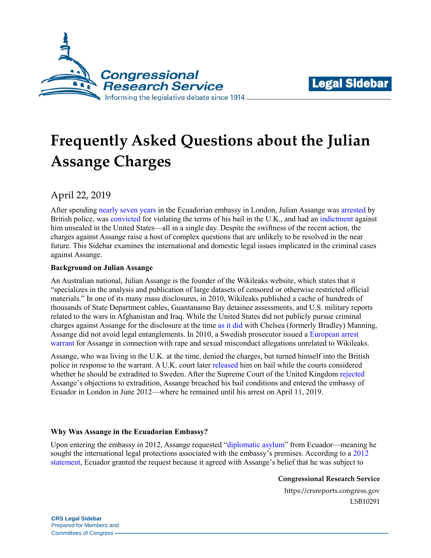



# **Frequently Asked Questions about the Julian Assange Charges**

April 22, 2019

After spending [nearly seven years](https://www.apnews.com/7276b35e8d5944e7b5ca280ab0390b26) in the Ecuadorian embassy in London, Julian Assange wa[s arrested](https://www.reuters.com/article/us-ecuador-assange/julian-assange-arrested-by-british-police-at-ecuadorean-embassy-idUSKCN1RN10R/) by British police, was [convicted](https://www.reuters.com/article/us-ecuador-assange-plea/wikileaks-assange-convicted-of-breaking-bail-terms-at-uk-court-idUSKCN1RN1Y4) for violating the terms of his bail in the U.K., and had an [indictment](https://www.justice.gov/usao-edva/press-release/file/1153481/download) against him unsealed in the United States—all in a single day. Despite the swiftness of the recent action, the charges against Assange raise a host of complex questions that are unlikely to be resolved in the near future. This Sidebar examines the international and domestic legal issues implicated in the criminal cases against Assange.

## **Background on Julian Assange**

An Australian national, Julian Assange is the founder of the Wikileaks website, which states that it "specializes in the analysis and publication of large datasets of censored or otherwise restricted official materials." In one of its many mass disclosures, in 2010, Wikileaks published a cache of hundreds of thousands of State Department cables, Guantanamo Bay detainee assessments, and U.S. military reports related to the wars in Afghanistan and Iraq. While the United States did not publicly pursue criminal charges against Assange for the disclosure at the time as [it did](https://crsreports.congress.gov/product/pdf/R/R41404#_Toc4391293) with Chelsea (formerly Bradley) Manning, Assange did not avoid legal entanglements. In 2010, a Swedish prosecutor issued a [European arrest](https://ec.europa.eu/info/law/cross-border-cases/judicial-cooperation/types-judicial-cooperation/european-arrest-warrant_en)  [warrant](https://ec.europa.eu/info/law/cross-border-cases/judicial-cooperation/types-judicial-cooperation/european-arrest-warrant_en) for Assange in connection with rape and sexual misconduct allegations unrelated to Wikileaks.

Assange, who was living in the U.K. at the time, denied the charges, but turned himself into the British police in response to the warrant. A U.K. court later released [him on bail w](https://www.bbc.com/news/uk-12005930)hile the courts considered whether he should be extradited to Sweden. After the Supreme Court of the United Kingdom [rejected](https://www.supremecourt.uk/cases/docs/uksc-2011-0264-judgment.pdf) Assange's objections to extradition, Assange breached his bail conditions and entered the embassy of Ecuador in London in June 2012—where he remained until his arrest on April 11, 2019.

### **Why Was Assange in the Ecuadorian Embassy?**

Upon entering the embassy in 2012, Assange requested ["diplomatic asylum"](https://www.unhcr.org/protection/historical/3ae68bf10/question-diplomatic-asylum-report-secretary-general.html) from Ecuador—meaning he sought the international legal protections associated with the embassy's premises. According to a [2012](https://web.archive.org/web/20130615201655/http:/www.mmrree.gob.ec/eng/2012/com042.asp)  [statement,](https://web.archive.org/web/20130615201655/http:/www.mmrree.gob.ec/eng/2012/com042.asp) Ecuador granted the request because it agreed with Assange's belief that he was subject to

**Congressional Research Service**

https://crsreports.congress.gov LSB10291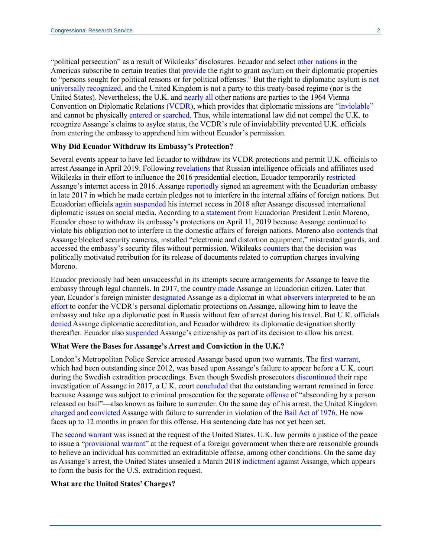"political persecution" as a result of Wikileaks' disclosures. Ecuador and select [other nations](http://www.oas.org/juridico/english/sigs/a-46.html) in the Americas subscribe to certain treaties that [provide](http://www.oas.org/en/sla/dil/inter_american_treaties_A-46_diplomatic_asylum.asp) the right to grant asylum on their diplomatic properties to "persons sought for political reasons or for political offenses." But the right to diplomatic asylum is [not](https://www.icj-cij.org/files/case-related/7/007-19501120-JUD-01-00-EN.pdf#page=13)  [universally recognized,](https://www.icj-cij.org/files/case-related/7/007-19501120-JUD-01-00-EN.pdf#page=13) and the United Kingdom is not a party to this treaty-based regime (nor is the United States). Nevertheless, the U.K. and [nearly all](https://treaties.un.org/pages/ViewDetails.aspx?src=TREATY&mtdsg_no=III-3&chapter=3&clang=_en) other nations are parties to the 1964 Vienna Convention on Diplomatic Relations [\(VCDR\)](https://treaties.un.org/doc/Treaties/1964/06/19640624%2002-10%20AM/Ch_III_3p.pdf), which provides that diplomatic missions are ["inviolable"](https://treaties.un.org/doc/Treaties/1964/06/19640624%2002-10%20AM/Ch_III_3p.pdf#page=16) and cannot be physically [entered or searched.](https://fam.state.gov/searchapps/viewer?format=html&query=inviolability%20premises&links=INVIOL,PREMIS&url=/FAM/02FAM/02FAM0220.html#M221_3) Thus, while international law did not compel the U.K. to recognize Assange's claims to asylee status, the VCDR's rule of inviolability prevented U.K. officials from entering the embassy to apprehend him without Ecuador's permission.

#### **Why Did Ecuador Withdraw its Embassy's Protection?**

Several events appear to have led Ecuador to withdraw its VCDR protections and permit U.K. officials to arrest Assange in April 2019. Followin[g revelations](https://www.dni.gov/files/documents/ICA_2017_01.pdf) that Russian intelligence officials and affiliates used Wikileaks in their effort to influence the 2016 presidential election, Ecuador temporarily [restricted](https://www.bbc.com/news/world-latin-america-37699410) Assange's internet access in 2016. Assange [reportedly](https://www.washingtonpost.com/world/ecuadoran-embassy-in-london-cuts-off-julian-assanges-internet/2018/03/28/10322e9c-32ae-11e8-b6bd-0084a1666987_story.html?utm_term=.12f821d8610b) signed an agreement with the Ecuadorian embassy in late 2017 in which he made certain pledges not to interfere in the internal affairs of foreign nations. But Ecuadorian officials [again suspended](https://www.reuters.com/article/us-ecuador-assange/ecuador-cuts-assanges-communications-after-comments-on-social-media-idUSKBN1H433U) his internet access in 2018 after Assange discussed international diplomatic issues on social media. According to a [statement](https://twitter.com/Lenin/status/1116271659512684544) from Ecuadorian President Lenín Moreno, Ecuador chose to withdraw its embassy's protections on April 11, 2019 because Assange continued to violate his obligation not to interfere in the domestic affairs of foreign nations. Moreno also [contends](https://twitter.com/Lenin/status/1116271659512684544) that Assange blocked security cameras, installed "electronic and distortion equipment," mistreated guards, and accessed the embassy's security files without permission. Wikileaks [counters](https://www.reuters.com/article/us-ecuador-wikileaks-assange/ecuadors-president-says-assange-breached-terms-of-london-embassy-asylum-idUSKCN1RE1TL) that the decision was politically motivated retribution for its release of documents related to corruption charges involving Moreno.

Ecuador previously had been unsuccessful in its attempts secure arrangements for Assange to leave the embassy through legal channels. In 2017, the countr[y made](https://www.cnn.com/2018/01/11/europe/wikileaks-julian-assange-given-ecuadorian-citizenship/index.html) Assange an Ecuadorian citizen. Later that year, Ecuador's foreign minister [designated](https://www.documentcloud.org/documents/5004882-Annexes.html) Assange as a diplomat in wha[t observers interpreted](https://www.apnews.com/3728e1631d57454a9502dd51d1bf441b) to be an [effort](https://www.ejiltalk.org/does-ecuadors-appointment-of-julian-assange-oblige-the-uk-to-allow-him-to-leave-the-embassy-and-is-the-matter-headed-to-the-icj/) to confer the VCDR's personal diplomatic protections on Assange, allowing him to leave the embassy and take up a diplomatic post in Russia without fear of arrest during his travel. But U.K. officials [denied](https://www.reuters.com/article/us-ecuador-assange-exclusive/exclusive-ecuador-attempted-to-give-assange-diplomat-post-in-russia-document-idUSKCN1M12R5) Assange diplomatic accreditation, and Ecuador withdrew its diplomatic designation shortly thereafter. Ecuador also [suspended](https://www.reuters.com/article/us-ecuador-assange-citizenship/after-years-of-giving-refuge-ecuador-suspends-assanges-citizenship-idUSKCN1RN1LN) Assange's citizenship as part of its decision to allow his arrest.

#### **What Were the Bases for Assange's Arrest and Conviction in the U.K.?**

London's Metropolitan Police Service arrested Assange based upon two warrants. The [first](http://news.met.police.uk/news/arrest-update-sw1-365526) warrant, which had been outstanding since 2012, was based upon Assange's failure to appear before a U.K. court during the Swedish extradition proceedings. Even though Swedish prosecutors [discontinued](https://www.aklagare.se/globalassets/dokument/ovriga-dokument/decision-20170519.pdf) their rape investigation of Assange in 2017, a U.K. court [concluded](https://www.judiciary.uk/wp-content/uploads/2018/02/Assange-Ruling.pdf) that the outstanding warrant remained in force because Assange was subject to criminal prosecution for the separate [offense](https://www.legislation.gov.uk/ukpga/1976/63/section/6) of "absconding by a person released on bail"—also known as failure to surrender. On the same day of his arrest, the United Kingdom [charged and convicted](https://www.bbc.com/news/uk-47891737) Assange with failure to surrender in violation of the [Bail Act of 1976.](https://www.legislation.gov.uk/ukpga/1976/63) He now faces up to 12 months in prison for this offense. His sentencing date has not yet been set.

The [second warrant](http://news.met.police.uk/news/update-arrest-of-julian-assange-365565) was issued at the request of the United States. U.K. law permits a justice of the peace to issue a ["provisional warrant"](https://www.legislation.gov.uk/ukpga/2003/41/section/73) at the request of a foreign government when there are reasonable grounds to believe an individual has committed an extraditable offense, among other conditions. On the same day as Assange's arrest, the United States unsealed a March 2018 [indictment](https://www.justice.gov/usao-edva/press-release/file/1153481/download) against Assange, which appears to form the basis for the U.S. extradition request.

#### **What are the United States' Charges?**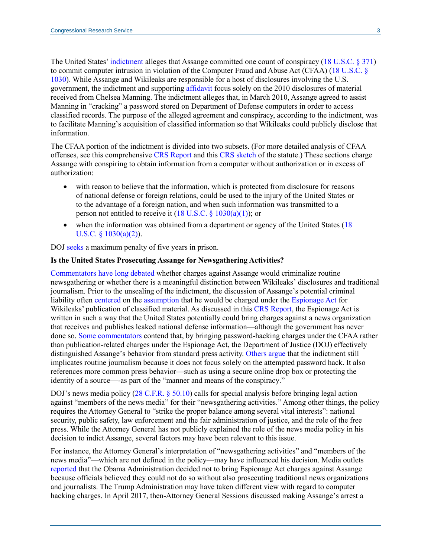The United States[' indictment](https://www.justice.gov/usao-edva/press-release/file/1153481/download) alleges that Assange committed one count of conspiracy [\(18 U.S.C. §](http://uscode.house.gov/view.xhtml?req=(title:18%20section:371%20edition:prelim)%20OR%20(granuleid:USC-prelim-title18-section371)&f=treesort&edition=prelim&num=0&jumpTo=true) 371) to commit computer intrusion in violation of the Computer Fraud and Abuse Act (CFAA) [\(18 U.S.C. §](http://uscode.house.gov/view.xhtml?req=(title:18%20section:1030%20edition:prelim)%20OR%20(granuleid:USC-prelim-title18-section1030)&f=treesort&edition=prelim&num=0&jumpTo=true) [1030\)](http://uscode.house.gov/view.xhtml?req=(title:18%20section:1030%20edition:prelim)%20OR%20(granuleid:USC-prelim-title18-section1030)&f=treesort&edition=prelim&num=0&jumpTo=true). While Assange and Wikileaks are responsible for a host of disclosures involving the U.S. government, the indictment and supporting [affidavit](https://assets.documentcloud.org/documents/5912267/Assange-Affidavit.pdf) focus solely on the 2010 disclosures of material received from Chelsea Manning. The indictment alleges that, in March 2010, Assange agreed to assist Manning in "cracking" a password stored on Department of Defense computers in order to access classified records. The purpose of the alleged agreement and conspiracy, according to the indictment, was to facilitate Manning's acquisition of classified information so that Wikileaks could publicly disclose that information.

The CFAA portion of the indictment is divided into two subsets. (For more detailed analysis of CFAA offenses, see this comprehensive [CRS Report](https://crsreports.congress.gov/product/pdf/RS/97-1025) and this [CRS sketch](https://crsreports.congress.gov/product/pdf/RS/RS20830) of the statute.) These sections charge Assange with conspiring to obtain information from a computer without authorization or in excess of authorization:

- with reason to believe that the information, which is protected from disclosure for reasons of national defense or foreign relations, could be used to the injury of the United States or to the advantage of a foreign nation, and when such information was transmitted to a person not entitled to receive it  $(18 \text{ U.S.C. } § 1030(a)(1))$ ; or
- when the information was obtained from a department or agency of the United States [\(18](http://uscode.house.gov/view.xhtml?req=(title:18%20section:1030%20edition:prelim)%20OR%20(granuleid:USC-prelim-title18-section1030)&f=treesort&edition=prelim&num=0&jumpTo=true)  U.S.C.  $\{1030(a)(2)\}.$

DOJ [seeks](https://www.justice.gov/opa/pr/wikileaks-founder-charged-computer-hacking-conspiracy) a maximum penalty of five years in prison.

#### **Is the United States Prosecuting Assange for Newsgathering Activities?**

[Commentators](https://www.lawfareblog.com/journalism-doxing-era-wikileaks-different-new-york-times) [have](https://www.justsecurity.org/40672/constitutional-rubicon-assange-prosecution/) [long](http://www.nbcnews.com/id/40653249/ns/us_news-wikileaks_in_security/t/us-v-wikileaks-espionage-first-amendment/) [debated](https://www.rollingstone.com/politics/politics-news/why-shouldnt-freedom-of-the-press-apply-to-wikileaks-183833/) whether charges against Assange would criminalize routine newsgathering or whether there is a meaningful distinction between Wikileaks' disclosures and traditional journalism. Prior to the unsealing of the indictment, the discussion of Assange's potential criminal liability often [centered](https://www.washingtonpost.com/news/volokh-conspiracy/wp/2017/04/24/prosecuting-assange-under-espionage-act-would-set-dangerous-precedent/?utm_term=.0ed458908f9e) on the [assumption](https://www.newyorker.com/news/news-desk/manning-assange-and-the-espionage-act) that he would be charged under the [Espionage Act](http://uscode.house.gov/view.xhtml?path=/prelim@title18/part1/chapter37&edition=prelim) for Wikileaks' publication of classified material. As discussed in this [CRS Report,](https://crsreports.congress.gov/product/pdf/R/R41404#_Toc4391299) the Espionage Act is written in such a way that the United States potentially could bring charges against a news organization that receives and publishes leaked national defense information—although the government has never done so. [Some commentators](https://www.cjr.org/tow_center/julian-assange-indictment.php) contend that, by bringing password-hacking charges under the CFAA rather than publication-related charges under the Espionage Act, the Department of Justice (DOJ) effectively distinguished Assange's behavior from standard press activity. [Others](https://knightcolumbia.org/news/knight-institute-comment-indictment-julian-assange-) [argue](https://theintercept.com/2019/04/11/the-u-s-governments-indictment-of-julian-assange-poses-grave-threats-to-press-freedoms/) that the indictment still implicates routine journalism because it does not focus solely on the attempted password hack. It also references more common press behavior—such as using a secure online drop box or protecting the identity of a source—-as part of the "manner and means of the conspiracy."

DOJ's news media policy [\(28 C.F.R. § 50.10\)](https://www.law.cornell.edu/cfr/text/28/50.10) calls for special analysis before bringing legal action against "members of the news media" for their "newsgathering activities." Among other things, the policy requires the Attorney General to "strike the proper balance among several vital interests": national security, public safety, law enforcement and the fair administration of justice, and the role of the free press. While the Attorney General has not publicly explained the role of the news media policy in his decision to indict Assange, several factors may have been relevant to this issue.

For instance, the Attorney General's interpretation of "newsgathering activities" and "members of the news media"—which are not defined in the policy—may have influenced his decision. Media outlets [reported](https://www.washingtonpost.com/world/national-security/julian-assange-unlikely-to-face-us-charges-over-publishing-classified-documents/2013/11/25/dd27decc-55f1-11e3-8304-caf30787c0a9_story.html?utm_term=.c36b285161ee) that the Obama Administration decided not to bring Espionage Act charges against Assange because officials believed they could not do so without also prosecuting traditional news organizations and journalists. The Trump Administration may have taken different view with regard to computer hacking charges. In April 2017, then-Attorney General Sessions discussed making Assange's arrest a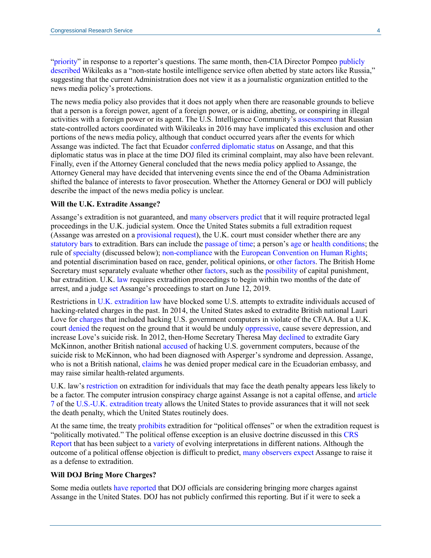["priority"](https://www.bbc.com/news/world-us-canada-39663058) in response to a reporter's questions. The same month, then-CIA Director Pompeo publicly [described](https://www.cia.gov/news-information/speeches-testimony/2017-speeches-testimony/pompeo-delivers-remarks-at-csis.html) Wikileaks as a "non-state hostile intelligence service often abetted by state actors like Russia," suggesting that the current Administration does not view it as a journalistic organization entitled to the news media policy's protections.

The news media policy also provides that it does not apply when there are reasonable grounds to believe that a person is a foreign power, agent of a foreign power, or is aiding, abetting, or conspiring in illegal activities with a foreign power or its agent. The U.S. Intelligence Community's [assessment](https://www.dni.gov/files/documents/ICA_2017_01.pdf#page=13) that Russian state-controlled actors coordinated with Wikileaks in 2016 may have implicated this exclusion and other portions of the news media policy, although that conduct occurred years after the events for which Assange was indicted. The fact that Ecuador [conferred diplomatic status](https://www.documentcloud.org/documents/5004882-Annexes.html) on Assange, and that this diplomatic status was in place at the time DOJ filed its criminal complaint, may also have been relevant. Finally, even if the Attorney General concluded that the news media policy applied to Assange, the Attorney General may have decided that intervening events since the end of the Obama Administration shifted the balance of interests to favor prosecution. Whether the Attorney General or DOJ will publicly describe the impact of the news media policy is unclear.

#### **Will the U.K. Extradite Assange?**

Assange's extradition is not guaranteed, and [many](https://www.lawfareblog.com/wikileaks-case-just-beginning) [observers](https://www.nytimes.com/2019/04/12/world/europe/assange-extradition-us.html) [predict](https://www.buzzfeednews.com/article/zoetillman/julian-assange-extradition-us-uk-wikileaks) that it will require protracted legal proceedings in the U.K. judicial system. Once the United States submits a full extradition request (Assange was arrested on a [provisional request\)](https://homeofficemedia.blog.gov.uk/2019/04/11/extradition-factsheet/), the U.K. court must consider whether there are any [statutory bars](https://www.legislation.gov.uk/ukpga/2003/41/section/11) to extradition. Bars can include the [passage of time;](https://www.legislation.gov.uk/ukpga/2003/41/section/14) a person's [age](https://www.legislation.gov.uk/ukpga/2003/41/section/15) or [health conditions;](https://www.legislation.gov.uk/ukpga/2003/41/section/91) the rule of [specialty](https://www.legislation.gov.uk/ukpga/2003/41/section/17) (discussed below); [non-compliance](https://www.legislation.gov.uk/ukpga/2003/41/section/21) with the [European Convention on Human Rights;](https://www.echr.coe.int/Documents/Convention_ENG.pdf) and potential discrimination based on race, gender, political opinions, o[r other factors.](https://www.legislation.gov.uk/ukpga/2003/41/section/13) The British Home Secretary must separately evaluate whether other [factors,](https://www.legislation.gov.uk/ukpga/2003/41/section/93) such as the [possibility](https://www.legislation.gov.uk/ukpga/2003/41/section/93) of capital punishment, bar extradition. U.K. [law](https://www.legislation.gov.uk/ukpga/2003/41/section/76) requires extradition proceedings to begin within two months of the date of arrest, and a judge [set](https://www.reuters.com/article/us-ecuador-assange-usa-britain/us-must-produce-case-for-assange-extradition-by-june-12-uk-judge-idUSKCN1RN200) Assange's proceedings to start on June 12, 2019.

Restrictions in [U.K. extradition law](https://www.legislation.gov.uk/ukpga/2003/41/contents) have blocked some U.S. attempts to extradite individuals accused of hacking-related charges in the past. In 2014, the United States asked to extradite British national Lauri Love for [charges](https://www.justice.gov/usao/nys/pressreleases/February14/LauriLoveIndictmentPR/Love%2C%20Lauri%20Indictment.pdf) that included hacking U.S. government computers in violate of the CFAA. But a U.K. court [denied](https://www.judiciary.gov.uk/wp-content/uploads/2018/02/lauri-love-v-usa.pdf#page=33) the request on the ground that it would be unduly [oppressive,](https://www.legislation.gov.uk/ukpga/2003/41/section/91) cause severe depression, and increase Love's suicide risk. In 2012, then-Home Secretary Theresa May [declined](https://www.bbc.com/news/uk-19957138) to extradite Gary McKinnon, another British national [accused](https://www.justice.gov/archive/criminal/cybercrime/press-releases/2002/mckinnonIndict.htm) of hacking U.S. government computers, because of the suicide risk to McKinnon, who had been diagnosed with Asperger's syndrome and depression. Assange, who is not a British national, [claims](https://twitter.com/wikileaks/status/1116326955396288513) he was denied proper medical care in the Ecuadorian embassy, and may raise similar health-related arguments.

U.K. law's [restriction](https://www.legislation.gov.uk/ukpga/2003/41/section/93) on extradition for individuals that may face the death penalty appears less likely to be a factor. The computer intrusion conspiracy charge against Assange is not a capital offense, and article [7](https://www.state.gov/documents/organization/187784.pdf#page=10) of the [U.S.-U.K. extradition treaty](https://www.state.gov/documents/organization/187784.pdf) allows the United States to provide assurances that it will not seek the death penalty, which the United States routinely does.

At the same time, the treaty [prohibits](https://www.state.gov/documents/organization/187784.pdf#page=8) extradition for "political offenses" or when the extradition request is "politically motivated." The political offense exception is an elusive doctrine discussed in this [CRS](https://crsreports.congress.gov/product/pdf/RS/98-958#_Toc530131683)  [Report](https://crsreports.congress.gov/product/pdf/RS/98-958#_Toc530131683) that has been subject to a [variety](https://www.ejiltalk.org/the-political-offense-exception-punishing-whistleblowers-abroad/) of evolving interpretations in different nations. Although the outcome of a political offense objection is difficult to predict, [many observers](https://www.politico.com/story/2019/04/11/julian-assange-extradition-1271842) [expect](https://www.npr.org/2019/04/14/713304653/can-julian-assange-legally-be-extradited-to-the-u-s) Assange to raise it as a defense to extradition.

#### **Will DOJ Bring More Charges?**

Some media outlets [have](https://www.abc15.com/news/national/wikileaks-found-julian-assange-has-been-arrested) [reported](https://www.cnn.com/uk/live-news/julian-assange-arrest-dle-gbr-intl/h_7391a4712e2c57629a4f9c67a9d0833a) that DOJ officials are considering bringing more charges against Assange in the United States. DOJ has not publicly confirmed this reporting. But if it were to seek a